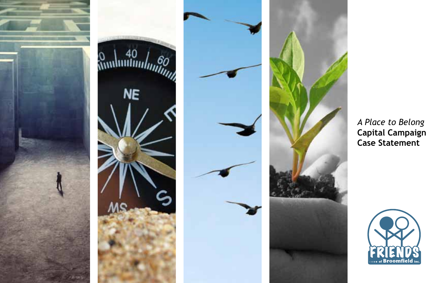







A Place to Belong Capital Campaign<br>Case Statement

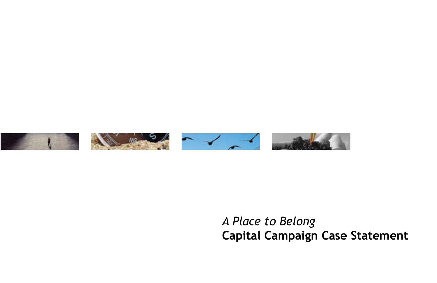

### *A Place to Belong*  **Capital Campaign Case Statement**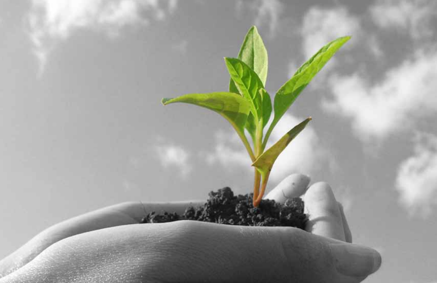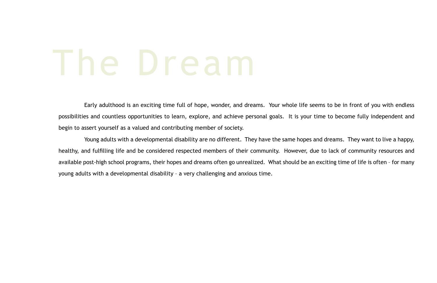Early adulthood is an exciting time full of hope, wonder, and dreams. Your whole life seems to be in front of you with endless possibilities and countless opportunities to learn, explore, and achieve personal goals. It is your time to become fully independent and begin to assert yourself as a valued and contributing member of society.

Young adults with a developmental disability are no different. They have the same hopes and dreams. They want to live a happy, healthy, and fulfilling life and be considered respected members of their community. However, due to lack of community resources and available post-high school programs, their hopes and dreams often go unrealized. What should be an exciting time of life is often - for many young adults with a developmental disability – a very challenging and anxious time.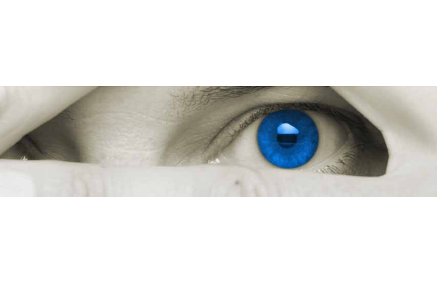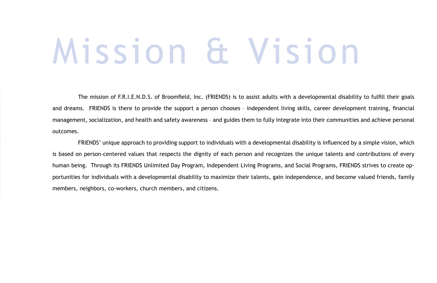### Mission & Vision

The mission of F.R.I.E.N.D.S. of Broomfield, Inc. (FRIENDS) is to assist adults with a developmental disability to fulfill their goals and dreams. FRIENDS is there to provide the support a person chooses - independent living skills, career development training, financial management, socialization, and health and safety awareness – and guides them to fully integrate into their communities and achieve personal outcomes.

FRIENDS' unique approach to providing support to individuals with a developmental disability is influenced by a simple vision, which is based on person-centered values that respects the dignity of each person and recognizes the unique talents and contributions of every human being. Through its FRIENDS Unlimited Day Program, Independent Living Programs, and Social Programs, FRIENDS strives to create opportunities for individuals with a developmental disability to maximize their talents, gain independence, and become valued friends, family members, neighbors, co-workers, church members, and citizens.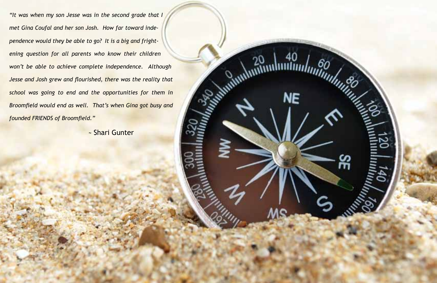*"It was when my son Jesse was in the second grade that I met Gina Coufal and her son Josh. How far toward inde> pendence would they be able to go? It is a big and fright> ening question for all parents who know their children won't be able to achieve complete independence. Although*  Jesse and Josh grew and flourished, there was the reality that *school was going to end and the opportunities for them in Broomfield would end as well. That's when Gina got busy and founded FRIENDS of Broomfield."* 

 *~* Shari Gunter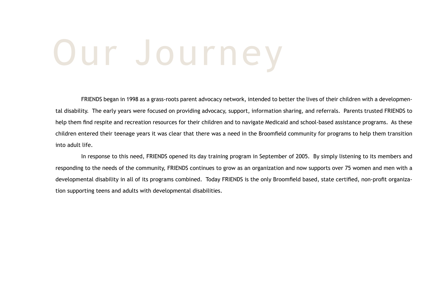## Our Journey

FRIENDS began in 1998 as a grass-roots parent advocacy network, intended to better the lives of their children with a developmental disability. The early years were focused on providing advocacy, support, information sharing, and referrals. Parents trusted FRIENDS to help them find respite and recreation resources for their children and to navigate Medicaid and school-based assistance programs. As these children entered their teenage years it was clear that there was a need in the Broomfield community for programs to help them transition into adult life.

In response to this need, FRIENDS opened its day training program in September of 2005. By simply listening to its members and responding to the needs of the community, FRIENDS continues to grow as an organization and now supports over 75 women and men with a developmental disability in all of its programs combined. Today FRIENDS is the only Broomfield based, state certified, non-profit organization supporting teens and adults with developmental disabilities.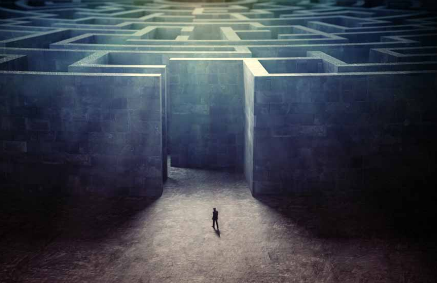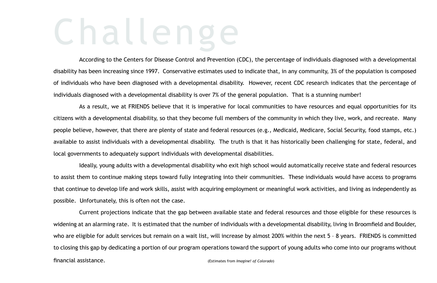### Challenge

According to the Centers for Disease Control and Prevention (CDC), the percentage of individuals diagnosed with a developmental disability has been increasing since 1997. Conservative estimates used to indicate that, in any community, 3% of the population is composed of individuals who have been diagnosed with a developmental disability. However, recent CDC research indicates that the percentage of individuals diagnosed with a developmental disability is over 7% of the general population. That is a stunning number!

As a result, we at FRIENDS believe that it is imperative for local communities to have resources and equal opportunities for its citizens with a developmental disability, so that they become full members of the community in which they live, work, and recreate. Many people believe, however, that there are plenty of state and federal resources (e.g., Medicaid, Medicare, Social Security, food stamps, etc.) available to assist individuals with a developmental disability. The truth is that it has historically been challenging for state, federal, and local governments to adequately support individuals with developmental disabilities.

Ideally, young adults with a developmental disability who exit high school would automatically receive state and federal resources to assist them to continue making steps toward fully integrating into their communities. These individuals would have access to programs that continue to develop life and work skills, assist with acquiring employment or meaningful work activities, and living as independently as possible. Unfortunately, this is often not the case.

Current projections indicate that the gap between available state and federal resources and those eligible for these resources is widening at an alarming rate. It is estimated that the number of individuals with a developmental disability, living in Broomfield and Boulder, who are eligible for adult services but remain on a wait list, will increase by almost 200% within the next 5 – 8 years. FRIENDS is committed to closing this gap by dedicating a portion of our program operations toward the support of young adults who come into our programs without **Financial assistance.** The state of Colorador and Colorador and Colorador *Imagine! of Colorador*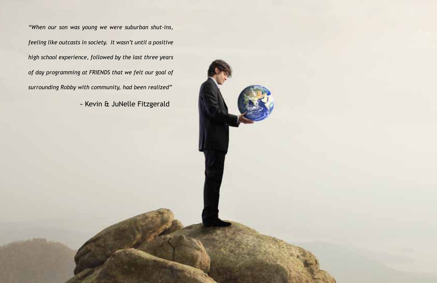"When our son was young we were suburban shut-ins, *feeling like outcasts in society. It wasn't until a positive*  high school experience, followed by the last three years *of day programming at FRIENDS that we felt our goal of*  surrounding Robby with community, had been realized"

 *~* Kevin & JuNelle Fitzgerald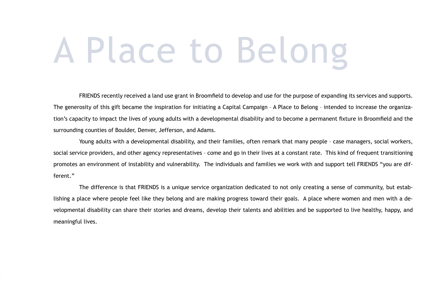## A Place to Belong

FRIENDS recently received a land use grant in Broomfield to develop and use for the purpose of expanding its services and supports. The generosity of this gift became the inspiration for initiating a Capital Campaign - A Place to Belong - intended to increase the organization's capacity to impact the lives of young adults with a developmental disability and to become a permanent fixture in Broomfield and the surrounding counties of Boulder, Denver, Jefferson, and Adams.

Young adults with a developmental disability, and their families, often remark that many people - case managers, social workers, social service providers, and other agency representatives - come and go in their lives at a constant rate. This kind of frequent transitioning promotes an environment of instability and vulnerability. The individuals and families we work with and support tell FRIENDS "you are different."

The difference is that FRIENDS is a unique service organization dedicated to not only creating a sense of community, but establishing a place where people feel like they belong and are making progress toward their goals. A place where women and men with a developmental disability can share their stories and dreams, develop their talents and abilities and be supported to live healthy, happy, and meaningful lives.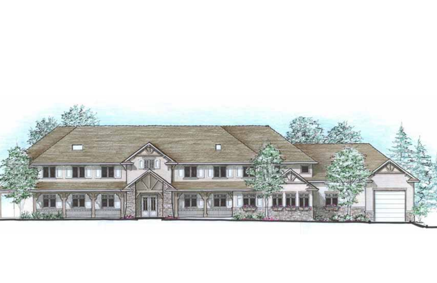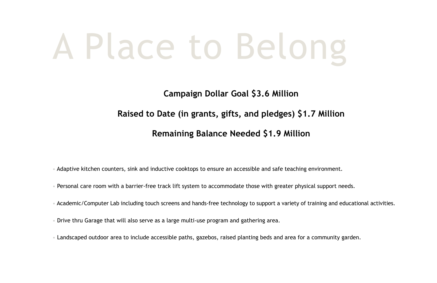# A Place to Belong

**Campaign Dollar Goal \$3.6 Million** 

### **Raised to Date (in grants, gifts, and pledges) \$1.7 Million**

### **Remaining Balance Needed \$1.9 Million**

- . Adaptive kitchen counters, sink and inductive cooktops to ensure an accessible and safe teaching environment,
- . Personal care room with a barrier-free track lift system to accommodate those with greater physical support needs.
- . Academic/Computer Lab including touch screens and hands-free technology to support a variety of training and educational activities.
- Drive thru Garage that will also serve as a large multi?use program and gathering area.
- Landscaped outdoor area to include accessible paths, gazebos, raised planting beds and area for a community garden.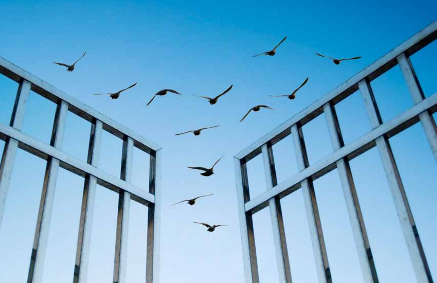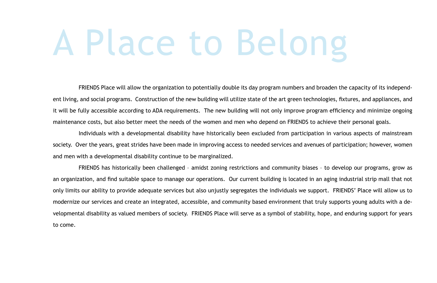# A Place to Belong

FRIENDS Place will allow the organization to potentially double its day program numbers and broaden the capacity of its independent living, and social programs. Construction of the new building will utilize state of the art green technologies, fixtures, and appliances, and it will be fully accessible according to ADA requirements. The new building will not only improve program efficiency and minimize ongoing maintenance costs, but also better meet the needs of the women and men who depend on FRIENDS to achieve their personal goals.

Individuals with a developmental disability have historically been excluded from participation in various aspects of mainstream society. Over the years, great strides have been made in improving access to needed services and avenues of participation; however, women and men with a developmental disability continue to be marginalized.

FRIENDS has historically been challenged – amidst zoning restrictions and community biases – to develop our programs, grow as an organization, and find suitable space to manage our operations. Our current building is located in an aging industrial strip mall that not only limits our ability to provide adequate services but also unjustly segregates the individuals we support. FRIENDS' Place will allow us to modernize our services and create an integrated, accessible, and community based environment that truly supports young adults with a developmental disability as valued members of society. FRIENDS Place will serve as a symbol of stability, hope, and enduring support for years to come.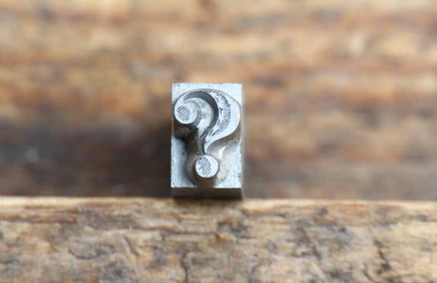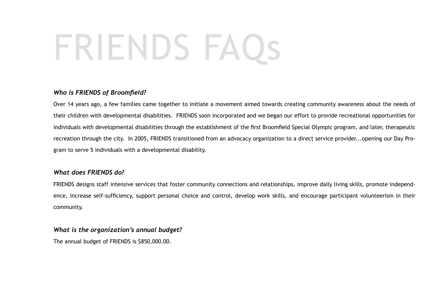### *Who is FRIENDS of Broomfield?*

Over 14 years ago, a few families came together to initiate a movement aimed towards creating community awareness about the needs of their children with developmental disabilities. FRIENDS soon incorporated and we began our effort to provide recreational opportunities for individuals with developmental disabilities through the establishment of the first Broomfield Special Olympic program, and later, therapeutic recreation through the city. In 2005, FRIENDS transitioned from an advocacy organization to a direct service provider...opening our Day Pro? gram to serve 5 individuals with a developmental disability.

### What does **FRIFNDS** do?

FRIENDS designs staff intensive services that foster community connections and relationships, improve daily living skills, promote independence, increase self-sufficiency, support personal choice and control, develop work skills, and encourage participant volunteerism in their community.

### *What is the organization's annual budget?*

The annual budget of FRIENDS is \$850,000.00.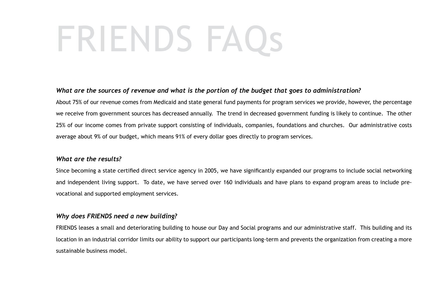### What are the sources of revenue and what is the portion of the budget that goes to administration?

About 75% of our revenue comes from Medicaid and state general fund payments for program services we provide, however, the percentage we receive from government sources has decreased annually. The trend in decreased government funding is likely to continue. The other 25% of our income comes from private support consisting of individuals, companies, foundations and churches. Our administrative costs average about 9% of our budget, which means 91% of every dollar goes directly to program services.

### *What are the results?*

Since becoming a state certified direct service agency in 2005, we have significantly expanded our programs to include social networking and independent living support. To date, we have served over 160 individuals and have plans to expand program areas to include pre? vocational and supported employment services.

### *Why does FRIENDS need a new building?*

FRIENDS leases a small and deteriorating building to house our Day and Social programs and our administrative staff. This building and its location in an industrial corridor limits our ability to support our participants long-term and prevents the organization from creating a more sustainable business model.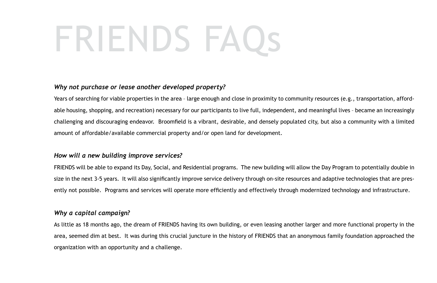### Why not purchase or lease another developed property?

Years of searching for viable properties in the area - large enough and close in proximity to community resources (e.g., transportation, affordable housing, shopping, and recreation) necessary for our participants to live full, independent, and meaningful lives - became an increasingly challenging and discouraging endeavor. Broomfield is a vibrant, desirable, and densely populated city, but also a community with a limited amount of affordable/available commercial property and/or open land for development.

### *How will a new building improve services?*

FRIENDS will be able to expand its Day, Social, and Residential programs. The new building will allow the Day Program to potentially double in size in the next 3-5 years. It will also significantly improve service delivery through on-site resources and adaptive technologies that are presently not possible. Programs and services will operate more efficiently and effectively through modernized technology and infrastructure.

### *Why a capital campaign?*

As little as 18 months ago, the dream of FRIENDS having its own building, or even leasing another larger and more functional property in the area, seemed dim at best. It was during this crucial juncture in the history of FRIENDS that an anonymous family foundation approached the organization with an opportunity and a challenge.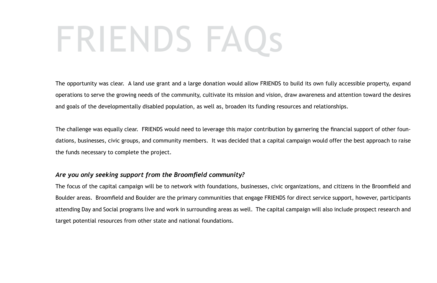The opportunity was clear. A land use grant and a large donation would allow FRIENDS to build its own fully accessible property, expand operations to serve the growing needs of the community, cultivate its mission and vision, draw awareness and attention toward the desires and goals of the developmentally disabled population, as well as, broaden its funding resources and relationships.

The challenge was equally clear. FRIENDS would need to leverage this major contribution by garnering the financial support of other foundations, businesses, civic groups, and community members. It was decided that a capital campaign would offer the best approach to raise the funds necessary to complete the project.

### Are you only seeking support from the Broomfield community?

The focus of the capital campaign will be to network with foundations, businesses, civic organizations, and citizens in the Broomfield and Boulder areas. Broomfield and Boulder are the primary communities that engage FRIENDS for direct service support, however, participants attending Day and Social programs live and work in surrounding areas as well. The capital campaign will also include prospect research and target potential resources from other state and national foundations.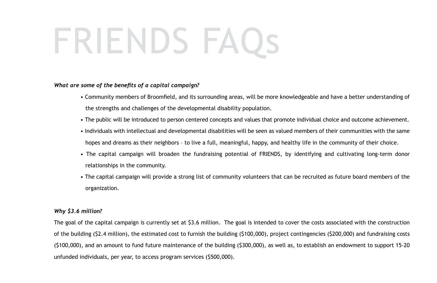### What are some of the benefits of a capital campaign?

- . Community members of Broomfield, and its surrounding areas, will be more knowledgeable and have a better understanding of the strengths and challenges of the developmental disability population.
- The public will be introduced to person centered concepts and values that promote individual choice and outcome achievement.
- Individuals with intellectual and developmental disabilities will be seen as valued members of their communities with the same hopes and dreams as their neighbors – to live a full, meaningful, happy, and healthy life in the community of their choice.
- The capital campaign will broaden the fundraising potential of FRIENDS, by identifying and cultivating long-term donor relationships in the community.
- The capital campaign will provide a strong list of community volunteers that can be recruited as future board members of the organization.

### *Why \$3.6 million?*

The goal of the capital campaign is currently set at \$3.6 million. The goal is intended to cover the costs associated with the construction of the building (\$2.4 million), the estimated cost to furnish the building (\$100,000), project contingencies (\$200,000) and fundraising costs  $(5100,000)$ , and an amount to fund future maintenance of the building  $(5300,000)$ , as well as, to establish an endowment to support 15-20 unfunded individuals, per year, to access program services (\$500,000).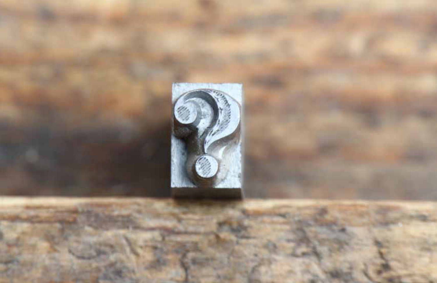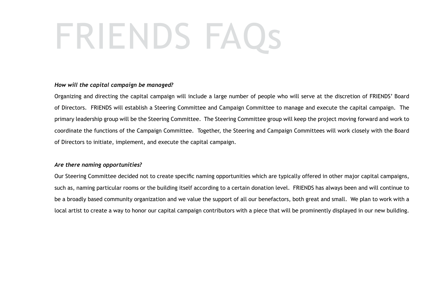### *How will the capital campaign be managed?*

Organizing and directing the capital campaign will include a large number of people who will serve at the discretion of FRIENDS' Board of Directors. FRIENDS will establish a Steering Committee and Campaign Committee to manage and execute the capital campaign. The primary leadership group will be the Steering Committee. The Steering Committee group will keep the project moving forward and work to coordinate the functions of the Campaign Committee. Together, the Steering and Campaign Committees will work closely with the Board of Directors to initiate, implement, and execute the capital campaign.

### Are there naming opportunities?

Our Steering Committee decided not to create specific naming opportunities which are typically offered in other major capital campaigns, such as, naming particular rooms or the building itself according to a certain donation level. FRIENDS has always been and will continue to be a broadly based community organization and we value the support of all our benefactors, both great and small. We plan to work with a local artist to create a way to honor our capital campaign contributors with a piece that will be prominently displayed in our new building.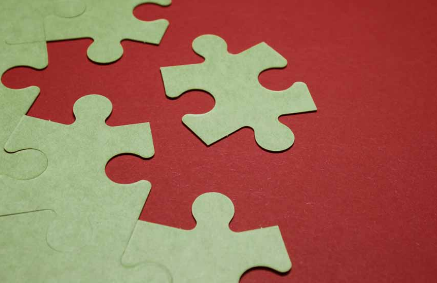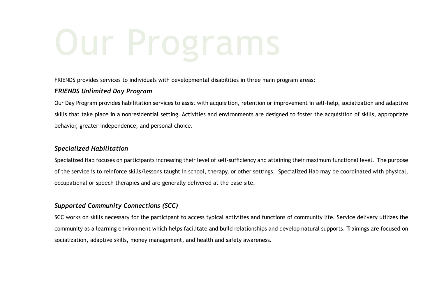FRIENDS provides services to individuals with developmental disabilities in three main program areas:

### *FRIENDS Unlimited Day Program*

Our Day Program provides habilitation services to assist with acquisition, retention or improvement in self?help, socialization and adaptive skills that take place in a nonresidential setting. Activities and environments are designed to foster the acquisition of skills, appropriate behavior, greater independence, and personal choice.

### **Specialized Habilitation**

Specialized Hab focuses on participants increasing their level of self-sufficiency and attaining their maximum functional level. The purpose of the service is to reinforce skills/lessons taught in school, therapy, or other settings. Specialized Hab may be coordinated with physical, occupational or speech therapies and are generally delivered at the base site.

### *Supported Community Connections (SCC)*

SCC works on skills necessary for the participant to access typical activities and functions of community life. Service delivery utilizes the community as a learning environment which helps facilitate and build relationships and develop natural supports. Trainings are focused on socialization, adaptive skills, money management, and health and safety awareness.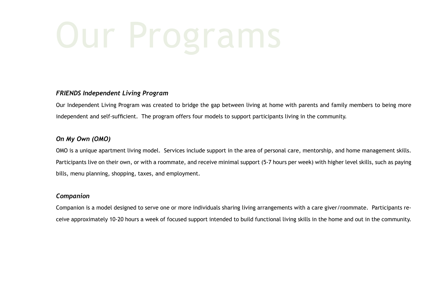### **FRIENDS Independent Living Program**

Our Independent Living Program was created to bridge the gap between living at home with parents and family members to being more independent and self-sufficient. The program offers four models to support participants living in the community.

### *<i><u>Dn</u> My Own (OMO)*

OMO is a unique apartment living model. Services include support in the area of personal care, mentorship, and home management skills. Participants live on their own, or with a roommate, and receive minimal support (5-7 hours per week) with higher level skills, such as paying bills, menu planning, shopping, taxes, and employment.

### Companion

Companion is a model designed to serve one or more individuals sharing living arrangements with a care giver/roommate. Participants receive approximately 10-20 hours a week of focused support intended to build functional living skills in the home and out in the community.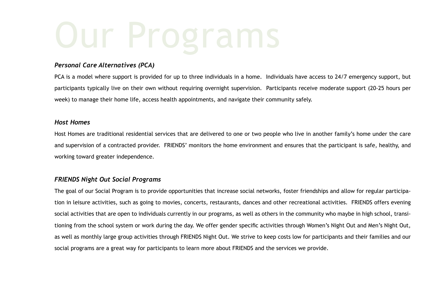### **Personal Care Alternatives (PCA)**

PCA is a model where support is provided for up to three individuals in a home. Individuals have access to 24/7 emergency support, but participants typically live on their own without requiring overnight supervision. Participants receive moderate support (20-25 hours per week) to manage their home life, access health appointments, and navigate their community safely.

### **Host Homes**

Host Homes are traditional residential services that are delivered to one or two people who live in another family's home under the care and supervision of a contracted provider. FRIENDS' monitors the home environment and ensures that the participant is safe, healthy, and working toward greater independence.

### **FRIENDS Night Out Social Programs**

The goal of our Social Program is to provide opportunities that increase social networks, foster friendships and allow for regular participation in leisure activities, such as going to movies, concerts, restaurants, dances and other recreational activities. FRIENDS offers evening social activities that are open to individuals currently in our programs, as well as others in the community who maybe in high school, transitioning from the school system or work during the day. We offer gender specific activities through Women's Night Out and Men's Night Out, as well as monthly large group activities through FRIENDS Night Out. We strive to keep costs low for participants and their families and our social programs are a great way for participants to learn more about FRIENDS and the services we provide.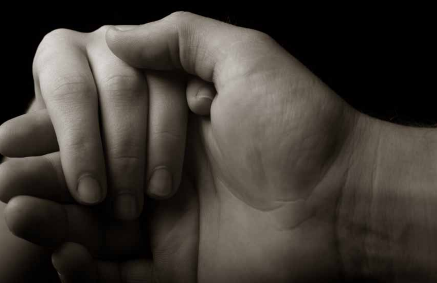